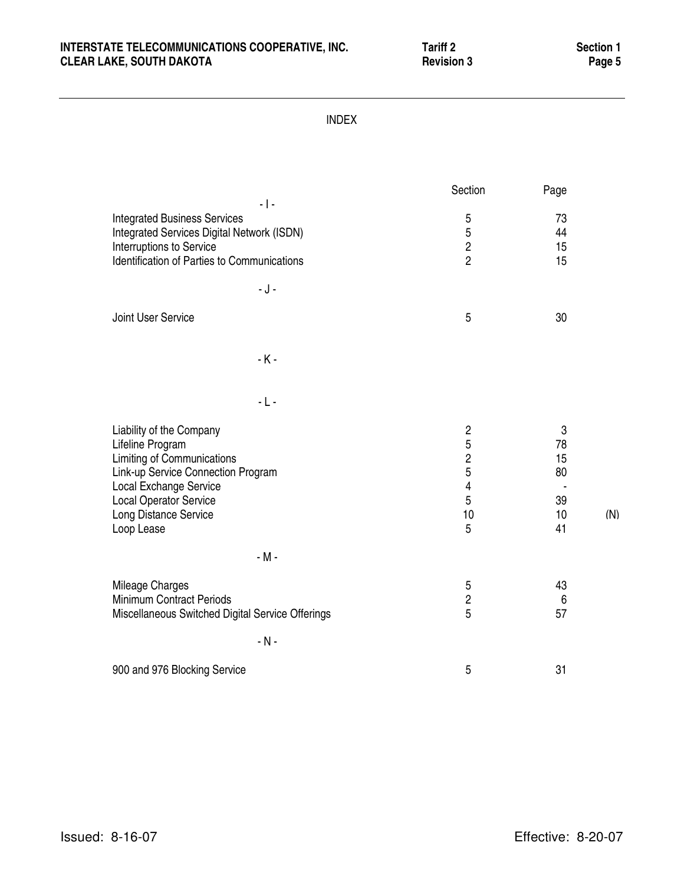# INTERSTATE TELECOMMUNICATIONS COOPERATIVE, INC. Tariff 2 Section 1<br>CLEAR LAKE, SOUTH DAKOTA **Reading the CLEAR LAKE, SOUTH DAKOTA CLEAR LAKE, SOUTH DAKOTA**

(N)

| <b>INDEX</b>                                                                                                                                                                                                              |                                                                          |                                       |
|---------------------------------------------------------------------------------------------------------------------------------------------------------------------------------------------------------------------------|--------------------------------------------------------------------------|---------------------------------------|
| $-1-$                                                                                                                                                                                                                     | Section                                                                  | Page                                  |
| <b>Integrated Business Services</b><br>Integrated Services Digital Network (ISDN)<br>Interruptions to Service<br>Identification of Parties to Communications                                                              | 5<br>5<br>$\overline{c}$<br>$\overline{2}$                               | 73<br>44<br>15<br>15                  |
| $-J -$<br>Joint User Service                                                                                                                                                                                              | 5                                                                        | 30                                    |
| $-K -$                                                                                                                                                                                                                    |                                                                          |                                       |
| $-L -$                                                                                                                                                                                                                    |                                                                          |                                       |
| Liability of the Company<br>Lifeline Program<br><b>Limiting of Communications</b><br>Link-up Service Connection Program<br>Local Exchange Service<br><b>Local Operator Service</b><br>Long Distance Service<br>Loop Lease | $\sqrt{2}$<br>5<br>$\overline{2}$<br>5<br>$\overline{4}$<br>5<br>10<br>5 | 3<br>78<br>15<br>80<br>39<br>10<br>41 |
| $-M -$                                                                                                                                                                                                                    |                                                                          |                                       |
| Mileage Charges<br>Minimum Contract Periods<br>Miscellaneous Switched Digital Service Offerings                                                                                                                           | 5<br>$\overline{c}$<br>5                                                 | 43<br>6<br>57                         |
| $-N -$                                                                                                                                                                                                                    |                                                                          |                                       |
| 900 and 976 Blocking Service                                                                                                                                                                                              | 5                                                                        | 31                                    |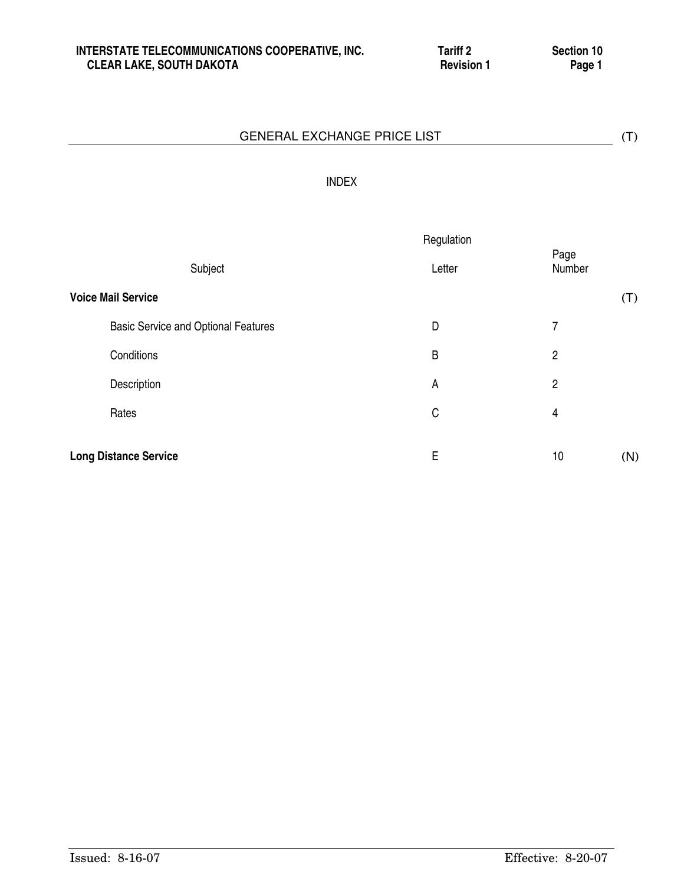# INDEX

|                                            | Regulation |                |     |
|--------------------------------------------|------------|----------------|-----|
| Subject                                    | Letter     | Page<br>Number |     |
| <b>Voice Mail Service</b>                  |            |                | (T) |
| <b>Basic Service and Optional Features</b> | D          | 7              |     |
| Conditions                                 | B          | $\overline{c}$ |     |
| Description                                | A          | $\overline{2}$ |     |
| Rates                                      | C          | 4              |     |
| <b>Long Distance Service</b>               | Ε          | 10             | (N) |
|                                            |            |                |     |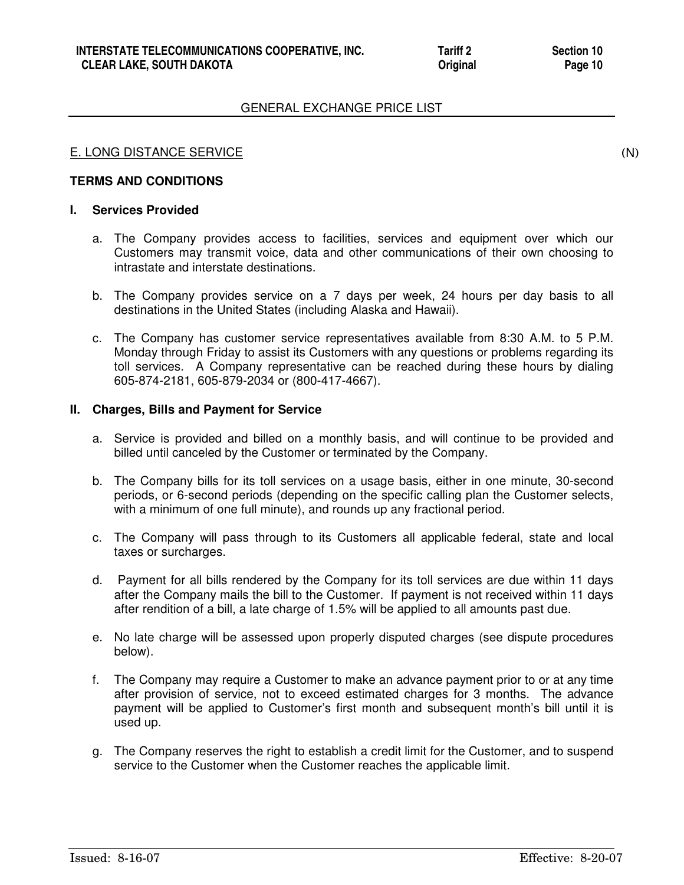# E. LONG DISTANCE SERVICE

# **TERMS AND CONDITIONS**

#### **I. Services Provided**

- a. The Company provides access to facilities, services and equipment over which our Customers may transmit voice, data and other communications of their own choosing to intrastate and interstate destinations.
- b. The Company provides service on a 7 days per week, 24 hours per day basis to all destinations in the United States (including Alaska and Hawaii).
- c. The Company has customer service representatives available from 8:30 A.M. to 5 P.M. Monday through Friday to assist its Customers with any questions or problems regarding its toll services. A Company representative can be reached during these hours by dialing 605-874-2181, 605-879-2034 or (800-417-4667).

# **II. Charges, Bills and Payment for Service**

- a. Service is provided and billed on a monthly basis, and will continue to be provided and billed until canceled by the Customer or terminated by the Company.
- b. The Company bills for its toll services on a usage basis, either in one minute, 30-second periods, or 6-second periods (depending on the specific calling plan the Customer selects, with a minimum of one full minute), and rounds up any fractional period.
- c. The Company will pass through to its Customers all applicable federal, state and local taxes or surcharges.
- d. Payment for all bills rendered by the Company for its toll services are due within 11 days after the Company mails the bill to the Customer. If payment is not received within 11 days after rendition of a bill, a late charge of 1.5% will be applied to all amounts past due.
- e. No late charge will be assessed upon properly disputed charges (see dispute procedures below).
- f. The Company may require a Customer to make an advance payment prior to or at any time after provision of service, not to exceed estimated charges for 3 months. The advance payment will be applied to Customer's first month and subsequent month's bill until it is used up.
- g. The Company reserves the right to establish a credit limit for the Customer, and to suspend service to the Customer when the Customer reaches the applicable limit.

(N)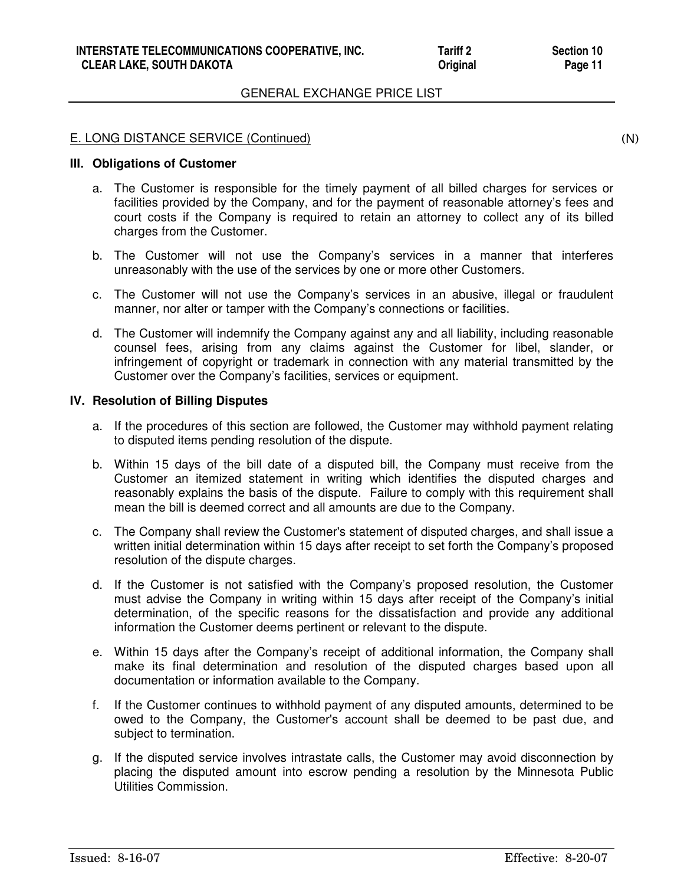# E. LONG DISTANCE SERVICE (Continued)

#### **III. Obligations of Customer**

- a. The Customer is responsible for the timely payment of all billed charges for services or facilities provided by the Company, and for the payment of reasonable attorney's fees and court costs if the Company is required to retain an attorney to collect any of its billed charges from the Customer.
- b. The Customer will not use the Company's services in a manner that interferes unreasonably with the use of the services by one or more other Customers.
- c. The Customer will not use the Company's services in an abusive, illegal or fraudulent manner, nor alter or tamper with the Company's connections or facilities.
- d. The Customer will indemnify the Company against any and all liability, including reasonable counsel fees, arising from any claims against the Customer for libel, slander, or infringement of copyright or trademark in connection with any material transmitted by the Customer over the Company's facilities, services or equipment.

# **IV. Resolution of Billing Disputes**

- a. If the procedures of this section are followed, the Customer may withhold payment relating to disputed items pending resolution of the dispute.
- b. Within 15 days of the bill date of a disputed bill, the Company must receive from the Customer an itemized statement in writing which identifies the disputed charges and reasonably explains the basis of the dispute. Failure to comply with this requirement shall mean the bill is deemed correct and all amounts are due to the Company.
- c. The Company shall review the Customer's statement of disputed charges, and shall issue a written initial determination within 15 days after receipt to set forth the Company's proposed resolution of the dispute charges.
- d. If the Customer is not satisfied with the Company's proposed resolution, the Customer must advise the Company in writing within 15 days after receipt of the Company's initial determination, of the specific reasons for the dissatisfaction and provide any additional information the Customer deems pertinent or relevant to the dispute.
- e. Within 15 days after the Company's receipt of additional information, the Company shall make its final determination and resolution of the disputed charges based upon all documentation or information available to the Company.
- f. If the Customer continues to withhold payment of any disputed amounts, determined to be owed to the Company, the Customer's account shall be deemed to be past due, and subject to termination.
- g. If the disputed service involves intrastate calls, the Customer may avoid disconnection by placing the disputed amount into escrow pending a resolution by the Minnesota Public Utilities Commission.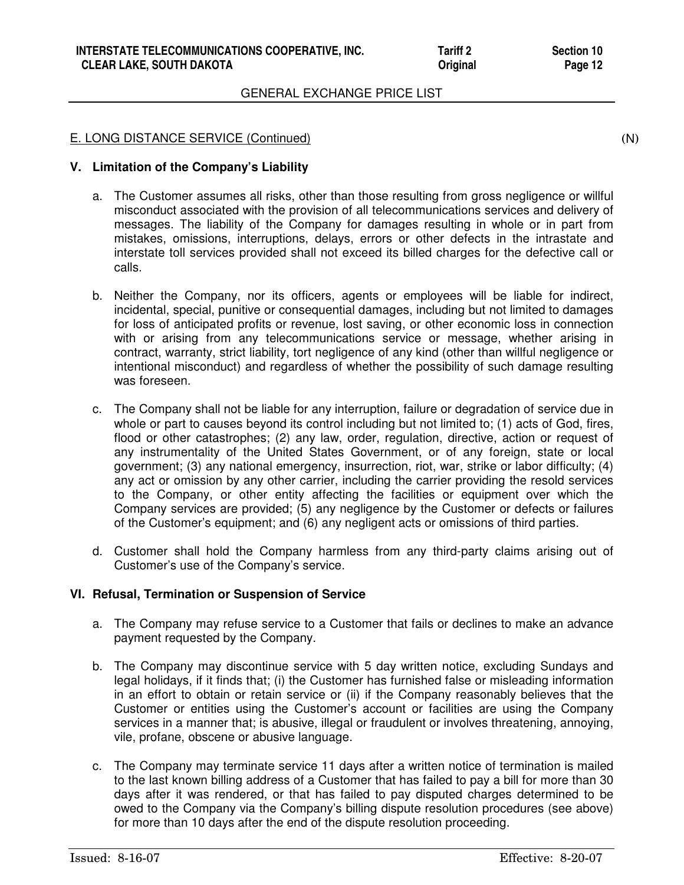# E. LONG DISTANCE SERVICE (Continued)

(N)

# **V. Limitation of the Company's Liability**

- a. The Customer assumes all risks, other than those resulting from gross negligence or willful misconduct associated with the provision of all telecommunications services and delivery of messages. The liability of the Company for damages resulting in whole or in part from mistakes, omissions, interruptions, delays, errors or other defects in the intrastate and interstate toll services provided shall not exceed its billed charges for the defective call or calls.
- b. Neither the Company, nor its officers, agents or employees will be liable for indirect, incidental, special, punitive or consequential damages, including but not limited to damages for loss of anticipated profits or revenue, lost saving, or other economic loss in connection with or arising from any telecommunications service or message, whether arising in contract, warranty, strict liability, tort negligence of any kind (other than willful negligence or intentional misconduct) and regardless of whether the possibility of such damage resulting was foreseen.
- c. The Company shall not be liable for any interruption, failure or degradation of service due in whole or part to causes beyond its control including but not limited to; (1) acts of God, fires, flood or other catastrophes; (2) any law, order, regulation, directive, action or request of any instrumentality of the United States Government, or of any foreign, state or local government; (3) any national emergency, insurrection, riot, war, strike or labor difficulty; (4) any act or omission by any other carrier, including the carrier providing the resold services to the Company, or other entity affecting the facilities or equipment over which the Company services are provided; (5) any negligence by the Customer or defects or failures of the Customer's equipment; and (6) any negligent acts or omissions of third parties.
- d. Customer shall hold the Company harmless from any third-party claims arising out of Customer's use of the Company's service.

# **VI. Refusal, Termination or Suspension of Service**

- a. The Company may refuse service to a Customer that fails or declines to make an advance payment requested by the Company.
- b. The Company may discontinue service with 5 day written notice, excluding Sundays and legal holidays, if it finds that; (i) the Customer has furnished false or misleading information in an effort to obtain or retain service or (ii) if the Company reasonably believes that the Customer or entities using the Customer's account or facilities are using the Company services in a manner that; is abusive, illegal or fraudulent or involves threatening, annoying, vile, profane, obscene or abusive language.
- c. The Company may terminate service 11 days after a written notice of termination is mailed to the last known billing address of a Customer that has failed to pay a bill for more than 30 days after it was rendered, or that has failed to pay disputed charges determined to be owed to the Company via the Company's billing dispute resolution procedures (see above) for more than 10 days after the end of the dispute resolution proceeding.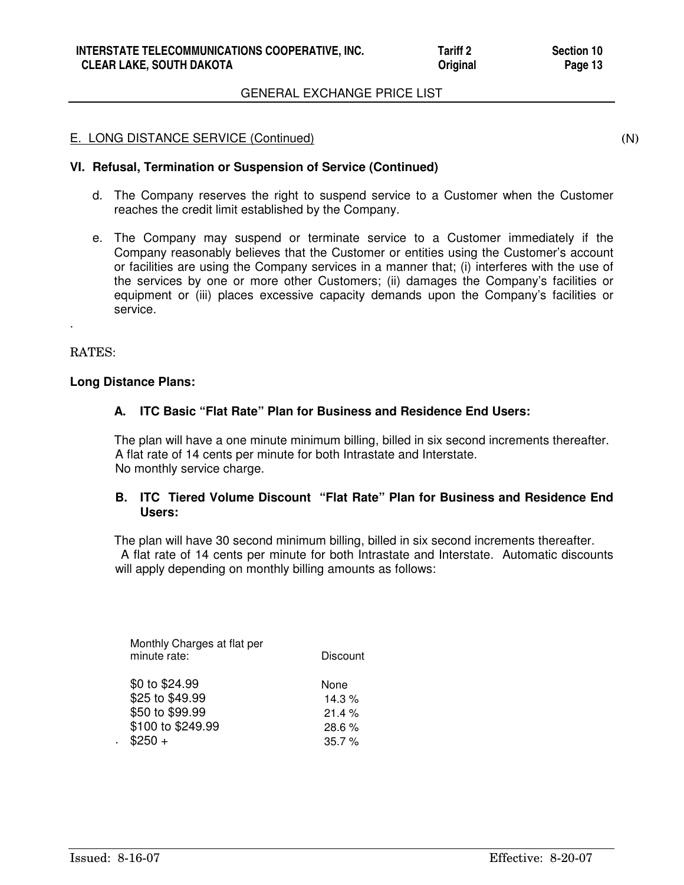#### E. LONG DISTANCE SERVICE (Continued)

(N)

# **VI. Refusal, Termination or Suspension of Service (Continued)**

- d. The Company reserves the right to suspend service to a Customer when the Customer reaches the credit limit established by the Company.
- e. The Company may suspend or terminate service to a Customer immediately if the Company reasonably believes that the Customer or entities using the Customer's account or facilities are using the Company services in a manner that; (i) interferes with the use of the services by one or more other Customers; (ii) damages the Company's facilities or equipment or (iii) places excessive capacity demands upon the Company's facilities or service.

#### RATES:

.

#### **Long Distance Plans:**

# **A. ITC Basic "Flat Rate" Plan for Business and Residence End Users:**

 The plan will have a one minute minimum billing, billed in six second increments thereafter. A flat rate of 14 cents per minute for both Intrastate and Interstate. No monthly service charge.

# **B. ITC Tiered Volume Discount "Flat Rate" Plan for Business and Residence End Users:**

 The plan will have 30 second minimum billing, billed in six second increments thereafter. A flat rate of 14 cents per minute for both Intrastate and Interstate. Automatic discounts will apply depending on monthly billing amounts as follows:

| Monthly Charges at flat per<br>minute rate: | Discount |
|---------------------------------------------|----------|
| \$0 to \$24.99                              | None     |
| \$25 to \$49.99                             | 14.3 $%$ |
| \$50 to \$99.99                             | 21.4%    |
| \$100 to \$249.99                           | 28.6%    |
| $$250 +$                                    | 35.7%    |

.